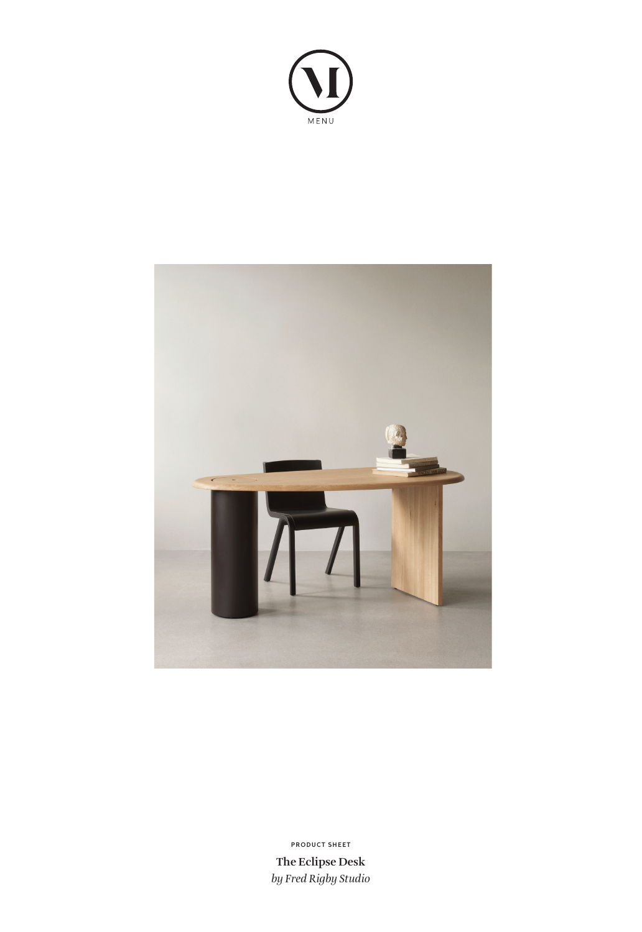



**The Eclipse Desk** *by Fred Rigby Studio* **PRODUCT SHEET**